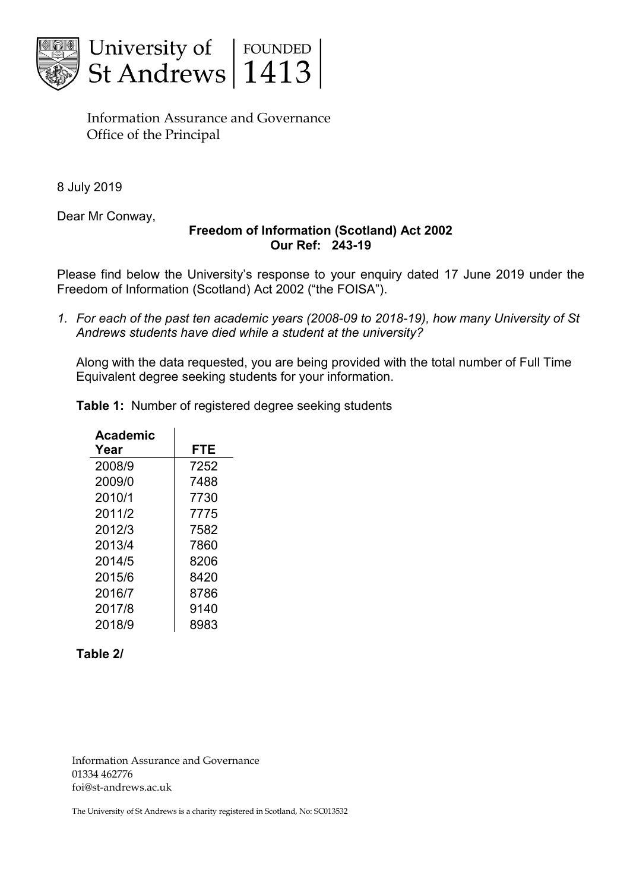



Information Assurance and Governance Office of the Principal

8 July 2019

Dear Mr Conway,

# **Freedom of Information (Scotland) Act 2002 Our Ref: 243-19**

Please find below the University's response to your enquiry dated 17 June 2019 under the Freedom of Information (Scotland) Act 2002 ("the FOISA").

*1. For each of the past ten academic years (2008-09 to 2018-19), how many University of St Andrews students have died while a student at the university?* 

Along with the data requested, you are being provided with the total number of Full Time Equivalent degree seeking students for your information.

| <b>Table 1:</b> Number of registered degree seeking students |
|--------------------------------------------------------------|
|--------------------------------------------------------------|

| Academic |            |
|----------|------------|
| Year     | <b>FTE</b> |
| 2008/9   | 7252       |
| 2009/0   | 7488       |
| 2010/1   | 7730       |
| 2011/2   | 7775       |
| 2012/3   | 7582       |
| 2013/4   | 7860       |
| 2014/5   | 8206       |
| 2015/6   | 8420       |
| 2016/7   | 8786       |
| 2017/8   | 9140       |
| 2018/9   | 8983       |

## **Table 2/**

Information Assurance and Governance 01334 462776 foi@st-andrews.ac.uk

The University of St Andrews is a charity registered in Scotland, No: SC013532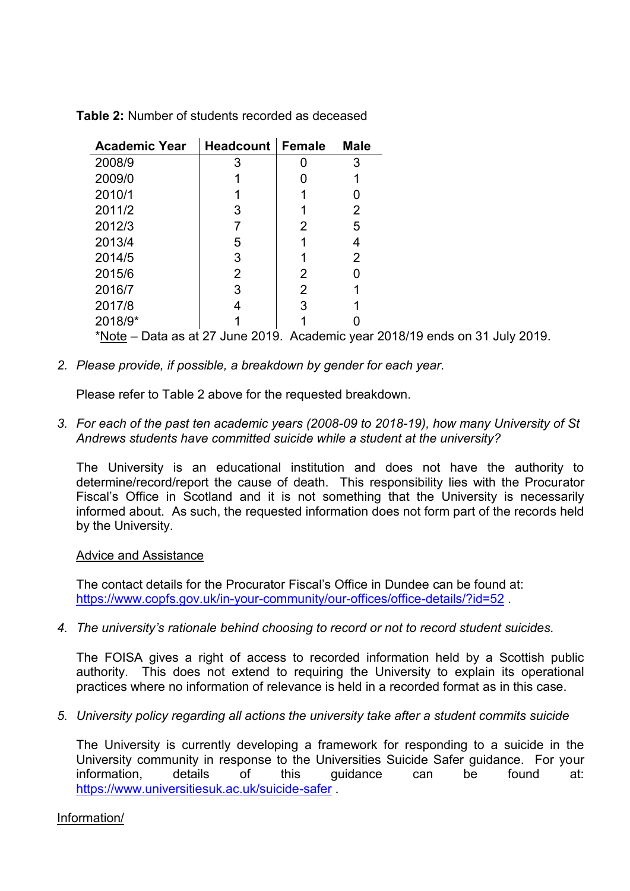| <b>Academic Year</b>                                                         | <b>Headcount</b> | <b>Female</b> | <b>Male</b> |
|------------------------------------------------------------------------------|------------------|---------------|-------------|
| 2008/9                                                                       | 3                |               |             |
| 2009/0                                                                       |                  |               |             |
| 2010/1                                                                       |                  |               |             |
| 2011/2                                                                       | 3                |               | 2           |
| 2012/3                                                                       |                  | 2             | 5           |
| 2013/4                                                                       | 5                |               | 4           |
| 2014/5                                                                       | 3                |               | 2           |
| 2015/6                                                                       | 2                | 2             |             |
| 2016/7                                                                       | 3                | 2             |             |
| 2017/8                                                                       |                  | 3             |             |
| 2018/9*                                                                      |                  |               |             |
| *Note – Data as at 27 June 2019. Academic year 2018/19 ends on 31 July 2019. |                  |               |             |

**Table 2:** Number of students recorded as deceased

*2. Please provide, if possible, a breakdown by gender for each year.* 

Please refer to Table 2 above for the requested breakdown.

*3. For each of the past ten academic years (2008-09 to 2018-19), how many University of St Andrews students have committed suicide while a student at the university?* 

The University is an educational institution and does not have the authority to determine/record/report the cause of death. This responsibility lies with the Procurator Fiscal's Office in Scotland and it is not something that the University is necessarily informed about. As such, the requested information does not form part of the records held by the University.

#### Advice and Assistance

The contact details for the Procurator Fiscal's Office in Dundee can be found at: <https://www.copfs.gov.uk/in-your-community/our-offices/office-details/?id=52>

*4. The university's rationale behind choosing to record or not to record student suicides.* 

The FOISA gives a right of access to recorded information held by a Scottish public authority. This does not extend to requiring the University to explain its operational practices where no information of relevance is held in a recorded format as in this case.

*5. University policy regarding all actions the university take after a student commits suicide* 

The University is currently developing a framework for responding to a suicide in the University community in response to the Universities Suicide Safer guidance. For your information, details of this guidance can be found at: <https://www.universitiesuk.ac.uk/suicide-safer> .

Information/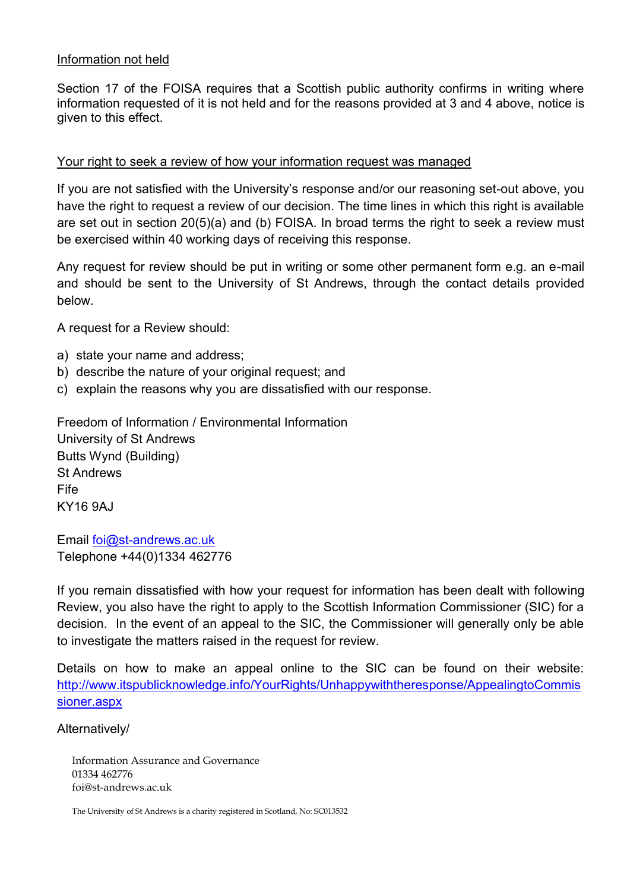# Information not held

Section 17 of the FOISA requires that a Scottish public authority confirms in writing where information requested of it is not held and for the reasons provided at 3 and 4 above, notice is given to this effect.

## Your right to seek a review of how your information request was managed

If you are not satisfied with the University's response and/or our reasoning set-out above, you have the right to request a review of our decision. The time lines in which this right is available are set out in section 20(5)(a) and (b) FOISA. In broad terms the right to seek a review must be exercised within 40 working days of receiving this response.

Any request for review should be put in writing or some other permanent form e.g. an e-mail and should be sent to the University of St Andrews, through the contact details provided below.

A request for a Review should:

- a) state your name and address;
- b) describe the nature of your original request; and
- c) explain the reasons why you are dissatisfied with our response.

Freedom of Information / Environmental Information University of St Andrews Butts Wynd (Building) St Andrews Fife KY16 9AJ

Email [foi@st-andrews.ac.uk](mailto:xxx@xxxxxxxxxx.xx.xx) Telephone +44(0)1334 462776

If you remain dissatisfied with how your request for information has been dealt with following Review, you also have the right to apply to the Scottish Information Commissioner (SIC) for a decision. In the event of an appeal to the SIC, the Commissioner will generally only be able to investigate the matters raised in the request for review.

Details on how to make an appeal online to the SIC can be found on their website: [http://www.itspublicknowledge.info/YourRights/Unhappywiththeresponse/AppealingtoCommis](http://www.itspublicknowledge.info/YourRights/Unhappywiththeresponse/AppealingtoCommissioner.aspx) [sioner.aspx](http://www.itspublicknowledge.info/YourRights/Unhappywiththeresponse/AppealingtoCommissioner.aspx)

Alternatively/

Information Assurance and Governance 01334 462776 foi@st-andrews.ac.uk

The University of St Andrews is a charity registered in Scotland, No: SC013532